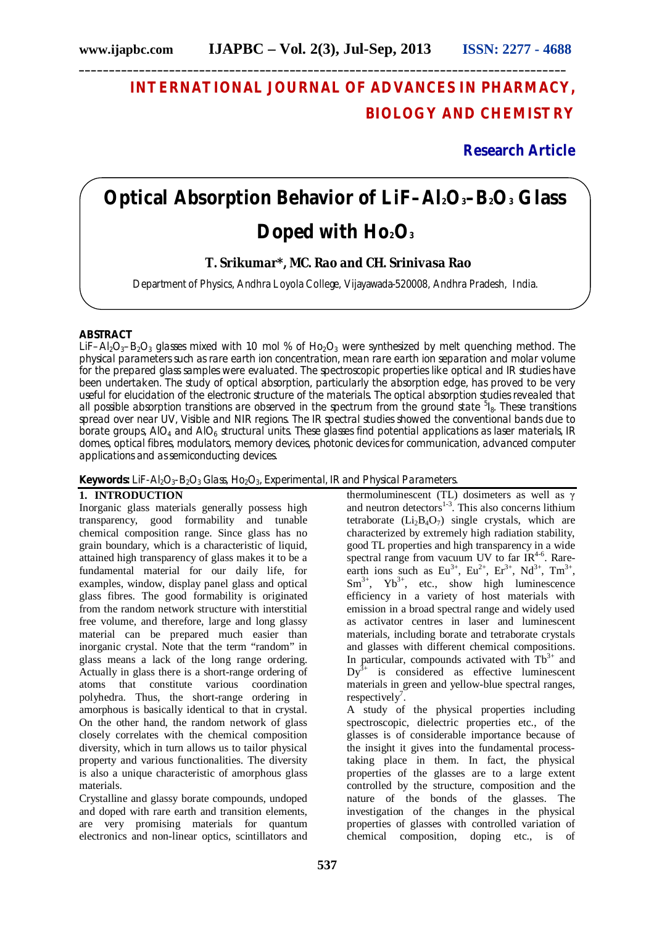# **INTERNATIONAL JOURNAL OF ADVANCES IN PHARMACY, BIOLOGY AND CHEMISTRY**

**Research Article**

# **Optical Absorption Behavior of LiF–Al2O3–B2O<sup>3</sup> Glass Doped with Ho2O<sup>3</sup>**

**T. Srikumar\*, MC. Rao and CH. Srinivasa Rao** 

Department of Physics, Andhra Loyola College, Vijayawada-520008, Andhra Pradesh, India.

## **ABSTRACT**

LiF–Al<sub>2</sub>O<sub>3</sub>–B<sub>2</sub>O<sub>3</sub> glasses mixed with 1.0 mol % of Ho<sub>2</sub>O<sub>3</sub> were synthesized by melt quenching method. The physical parameters such as rare earth ion concentration, mean rare earth ion separation and molar volume for the prepared glass samples were evaluated. The spectroscopic properties like optical and IR studies have been undertaken. The study of optical absorption, particularly the absorption edge, has proved to be very useful for elucidation of the electronic structure of the materials. The optical absorption studies revealed that all possible absorption transitions are observed in the spectrum from the ground state <sup>5</sup>l<sub>8</sub>. These transitions spread over near UV, Visible and NIR regions. The IR spectral studies showed the conventional bands due to borate groups, AIO<sub>4</sub> and AIO<sub>6</sub> structural units. These glasses find potential applications as laser materials, IR domes, optical fibres, modulators, memory devices, photonic devices for communication, advanced computer applications and as semiconducting devices.

Keywords: LiF-Al<sub>2</sub>O<sub>3</sub>-B<sub>2</sub>O<sub>3</sub> Glass, Ho<sub>2</sub>O<sub>3</sub>, Experimental, IR and Physical Parameters.

# **1. INTRODUCTION**

Inorganic glass materials generally possess high transparency, good formability and tunable chemical composition range. Since glass has no grain boundary, which is a characteristic of liquid, attained high transparency of glass makes it to be a fundamental material for our daily life, for examples, window, display panel glass and optical glass fibres. The good formability is originated from the random network structure with interstitial free volume, and therefore, large and long glassy material can be prepared much easier than inorganic crystal. Note that the term "random" in glass means a lack of the long range ordering. Actually in glass there is a short-range ordering of atoms that constitute various coordination polyhedra. Thus, the short-range ordering in amorphous is basically identical to that in crystal. On the other hand, the random network of glass closely correlates with the chemical composition diversity, which in turn allows us to tailor physical property and various functionalities. The diversity is also a unique characteristic of amorphous glass materials.

Crystalline and glassy borate compounds, undoped and doped with rare earth and transition elements, are very promising materials for quantum electronics and non-linear optics, scintillators and thermoluminescent (TL) dosimeters as well as γ and neutron detectors $1-3$ . This also concerns lithium tetraborate  $(Li<sub>2</sub>B<sub>4</sub>O<sub>7</sub>)$  single crystals, which are characterized by extremely high radiation stability, good TL properties and high transparency in a wide spectral range from vacuum UV to far  $IR<sup>4-6</sup>$ . Rareearth ions such as  $Eu^{3+}$ ,  $Eu^{2+}$ ,  $Ev^{3+}$ ,  $Nd^{3+}$ ,  $Tm^{3+}$ ,  $Sm^{3+}$ ,  $Yb^{3+}$ , etc., show high luminescence efficiency in a variety of host materials with emission in a broad spectral range and widely used as activator centres in laser and luminescent materials, including borate and tetraborate crystals and glasses with different chemical compositions. In particular, compounds activated with  $\text{fb}^{3+}$  and  $Dy^{3+}$  is considered as effective luminescent materials in green and yellow-blue spectral ranges, respectively<sup>7</sup>.

A study of the physical properties including spectroscopic, dielectric properties etc., of the glasses is of considerable importance because of the insight it gives into the fundamental processtaking place in them. In fact, the physical properties of the glasses are to a large extent controlled by the structure, composition and the nature of the bonds of the glasses. The investigation of the changes in the physical properties of glasses with controlled variation of chemical composition, doping etc., is of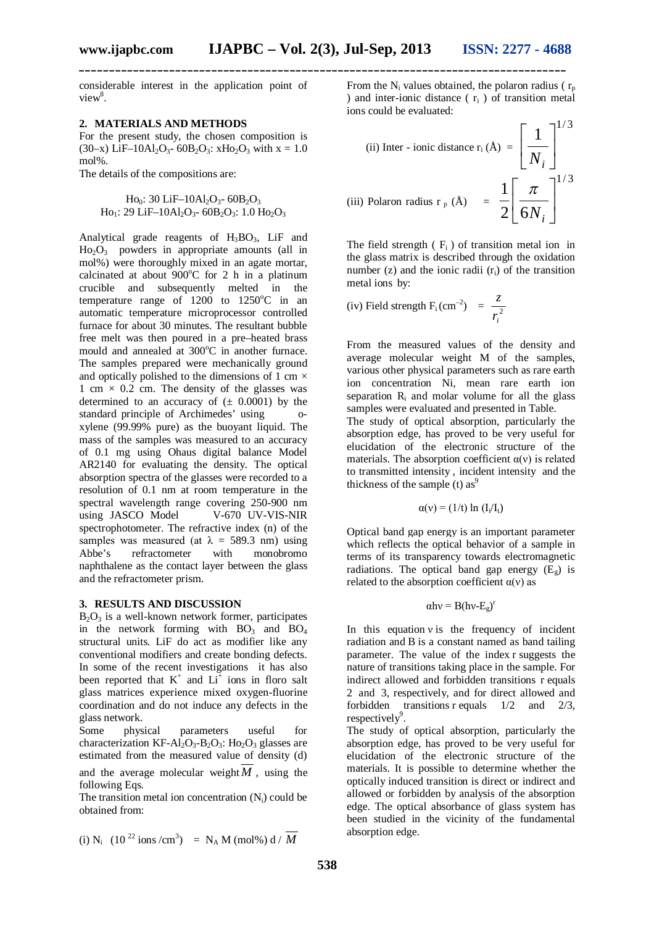considerable interest in the application point of  $view^8$ .

#### **2. MATERIALS AND METHODS**

For the present study, the chosen composition is (30–x) LiF–10Al<sub>2</sub>O<sub>3</sub>- 60B<sub>2</sub>O<sub>3</sub>: xH<sub>O2</sub>O<sub>3</sub> with x = 1.0 mol%.

The details of the compositions are:

 $Ho<sub>0</sub>: 30 LiF–10Al<sub>2</sub>O<sub>3</sub> - 60B<sub>2</sub>O<sub>3</sub>$  $Ho_1$ : 29 LiF-10Al<sub>2</sub>O<sub>3</sub>- 60B<sub>2</sub>O<sub>3</sub>: 1.0 H<sub>O2</sub>O<sub>3</sub>

Analytical grade reagents of  $H_3BO_3$ , LiF and  $H_0$ <sup>2</sup>, powders in appropriate amounts (all in mol%) were thoroughly mixed in an agate mortar, calcinated at about  $900^{\circ}$ C for 2 h in a platinum crucible and subsequently melted in the temperature range of  $1200$  to  $1250^{\circ}$ C in an automatic temperature microprocessor controlled furnace for about 30 minutes. The resultant bubble free melt was then poured in a pre–heated brass mould and annealed at 300°C in another furnace. The samples prepared were mechanically ground and optically polished to the dimensions of 1 cm  $\times$ 1 cm  $\times$  0.2 cm. The density of the glasses was determined to an accuracy of  $(\pm 0.0001)$  by the standard principle of Archimedes' using oxylene (99.99% pure) as the buoyant liquid. The mass of the samples was measured to an accuracy of 0.1 mg using Ohaus digital balance Model AR2140 for evaluating the density. The optical absorption spectra of the glasses were recorded to a resolution of 0.1 nm at room temperature in the spectral wavelength range covering 250-900 nm using JASCO Model spectrophotometer. The refractive index (n) of the samples was measured (at  $\lambda = 589.3$  nm) using<br>Abbe's refractometer with monohromo refractometer with monobromo naphthalene as the contact layer between the glass and the refractometer prism.

#### **3. RESULTS AND DISCUSSION**

 $B_2O_3$  is a well-known network former, participates in the network forming with  $BO_3$  and  $BO_4$ structural units. LiF do act as modifier like any conventional modifiers and create bonding defects. In some of the recent investigations it has also been reported that  $K^+$  and  $Li^+$  ions in floro salt glass matrices experience mixed oxygen-fluorine coordination and do not induce any defects in the glass network.<br>Some physical

parameters useful for characterization KF-Al<sub>2</sub>O<sub>3</sub>-B<sub>2</sub>O<sub>3</sub>: H<sub>O2</sub>O<sub>3</sub> glasses are estimated from the measured value of density (d) and the average molecular weight  $M$ , using the following Eqs.

The transition metal ion concentration  $(N_i)$  could be obtained from:

(i) N<sub>i</sub> 
$$
(10^{22} \text{ ions/cm}^3) = N_A M \text{ (mol%) d} / \overline{M}
$$

From the  $N_i$  values obtained, the polaron radius ( $r_p$ ) ) and inter-ionic distance ( $r_i$ ) of transition metal ions could be evaluated:

 $1/2$ 

(ii) Inter - ionic distance 
$$
r_i (\text{\AA}) = \left[ \frac{1}{N_i} \right]^{1/3}
$$
  
(iii) Polaron radius  $r_p (\text{\AA}) = \frac{1}{2} \left[ \frac{\pi}{6N_i} \right]^{1/3}$ 

The field strength  $(F_i)$  of transition metal ion in the glass matrix is described through the oxidation number (z) and the ionic radii  $(r_i)$  of the transition metal ions by:

(iv) Field strength F<sub>i</sub> (cm<sup>-2</sup>) = 
$$
\frac{z}{r_i^2}
$$

From the measured values of the density and average molecular weight M of the samples, various other physical parameters such as rare earth ion concentration Ni, mean rare earth ion separation  $R_i$  and molar volume for all the glass samples were evaluated and presented in Table. The study of optical absorption, particularly the absorption edge, has proved to be very useful for

elucidation of the electronic structure of the materials. The absorption coefficient  $\alpha(v)$  is related to transmitted intensity , incident intensity and the thickness of the sample (t)  $as<sup>9</sup>$ 

$$
\alpha(v) = (1/t) \ln (I_i/I_t)
$$

Optical band gap energy is an important parameter which reflects the optical behavior of a sample in terms of its transparency towards electromagnetic radiations. The optical band gap energy  $(E_{g})$  is related to the absorption coefficient  $\alpha$ (v) as

$$
\alpha h \nu = B (h \nu \text{-} E_g)^r
$$

In this equation  $v$  is the frequency of incident radiation and B is a constant named as band tailing parameter. The value of the index r suggests the nature of transitions taking place in the sample. For indirect allowed and forbidden transitions r equals 2 and 3, respectively, and for direct allowed and forbidden transitions r equals  $1/2$  and  $2/3$ , respectively<sup>9</sup>.

The study of optical absorption, particularly the absorption edge, has proved to be very useful for elucidation of the electronic structure of the materials. It is possible to determine whether the optically induced transition is direct or indirect and allowed or forbidden by analysis of the absorption edge. The optical absorbance of glass system has been studied in the vicinity of the fundamental absorption edge.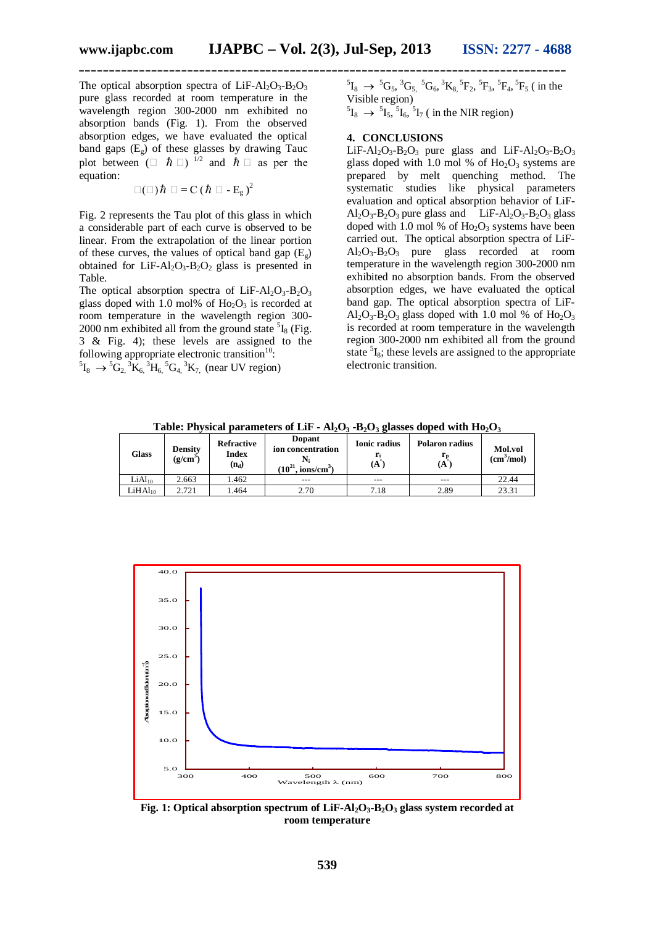The optical absorption spectra of  $LiF-Al_2O_3-B_2O_3$ pure glass recorded at room temperature in the wavelength region 300-2000 nm exhibited no absorption bands (Fig. 1). From the observed absorption edges, we have evaluated the optical band gaps (Eg) of these glasses by drawing Tauc plot between  $(\Box \ \ \hbar \ \Box)^{-1/2}$  and  $\hbar \Box$  as per the equation:

 $\square(\square)\hbar\ \square = C (\hbar\ \square - E_{g})^{2}$ 

Fig. 2 represents the Tau plot of this glass in which a considerable part of each curve is observed to be linear. From the extrapolation of the linear portion of these curves, the values of optical band gap  $(E_{\varphi})$ obtained for LiF-Al<sub>2</sub>O<sub>3</sub>-B<sub>2</sub>O<sub>2</sub> glass is presented in Table.

The optical absorption spectra of  $LiF-Al_2O_3-B_2O_3$ glass doped with 1.0 mol% of  $H_0$ <sub>2</sub>O<sub>3</sub> is recorded at room temperature in the wavelength region 300- 2000 nm exhibited all from the ground state  ${}^{5}I_8$  (Fig. 3 & Fig. 4); these levels are assigned to the following appropriate electronic transition $10$ :

 ${}^{5}I_{8} \rightarrow {}^{5}G_{2}$ ,  ${}^{3}K_{6}$ ,  ${}^{3}H_{6}$ ,  ${}^{5}G_{4}$ ,  ${}^{3}K_{7}$ , (near UV region)

 ${}^{5}I_{8}$   $\rightarrow$   ${}^{5}G_{5}$ ,  ${}^{3}G_{5}$ ,  ${}^{5}G_{6}$ ,  ${}^{3}K_{8}$ ,  ${}^{5}F_{2}$ ,  ${}^{5}F_{3}$ ,  ${}^{5}F_{4}$ ,  ${}^{5}F_{5}$  ( in the Visible region)

 ${}^{5}I_{8} \rightarrow {}^{5}I_{5}$ ,  ${}^{5}I_{6}$ ,  ${}^{5}I_{7}$  ( in the NIR region)

### **4. CONCLUSIONS**

LiF-Al<sub>2</sub>O<sub>3</sub>-B<sub>2</sub>O<sub>3</sub> pure glass and LiF-Al<sub>2</sub>O<sub>3</sub>-B<sub>2</sub>O<sub>3</sub> glass doped with 1.0 mol % of  $Ho<sub>2</sub>O<sub>3</sub>$  systems are prepared by melt quenching method. The systematic studies like physical parameters evaluation and optical absorption behavior of LiF- $Al_2O_3-B_2O_3$  pure glass and LiF-Al<sub>2</sub>O<sub>3</sub>-B<sub>2</sub>O<sub>3</sub> glass doped with 1.0 mol % of  $Ho_2O_3$  systems have been carried out. The optical absorption spectra of LiF- $Al_2O_3-B_2O_3$  pure glass recorded at room temperature in the wavelength region 300-2000 nm exhibited no absorption bands. From the observed absorption edges, we have evaluated the optical band gap. The optical absorption spectra of LiF- $Al_2O_3-B_2O_3$  glass doped with 1.0 mol % of  $Ho_2O_3$ is recorded at room temperature in the wavelength region 300-2000 nm exhibited all from the ground state <sup>5</sup>I<sub>8</sub>; these levels are assigned to the appropriate electronic transition.

**Table: Physical parameters of LiF - Al2O<sup>3</sup> -B2O<sup>3</sup> glasses doped with Ho2O<sup>3</sup>**

| Glass               | <b>Density</b><br>$(g/cm^3)$ | <b>Refractive</b><br>Index<br>$(n_d)$ | Dopant<br>ion concentration<br>$(10^{21}$<br>$\frac{\text{ions}}{\text{cm}^3}$ | <b>Ionic radius</b><br>(A) | Polaron radius<br>⊥ո<br>(A | <b>Mol.vol</b><br>(cm <sup>3</sup> /mol) |
|---------------------|------------------------------|---------------------------------------|--------------------------------------------------------------------------------|----------------------------|----------------------------|------------------------------------------|
| LiAl <sub>10</sub>  | 2.663                        | 1.462                                 | ---                                                                            | ---                        | ---                        | 22.44                                    |
| LiHAl <sub>10</sub> | 2.721                        | .464                                  | 2.70                                                                           | 7.18                       | 2.89                       | 23.31                                    |



**Fig. 1: Optical absorption spectrum of LiF-Al2O3-B2O<sup>3</sup> glass system recorded at room temperature**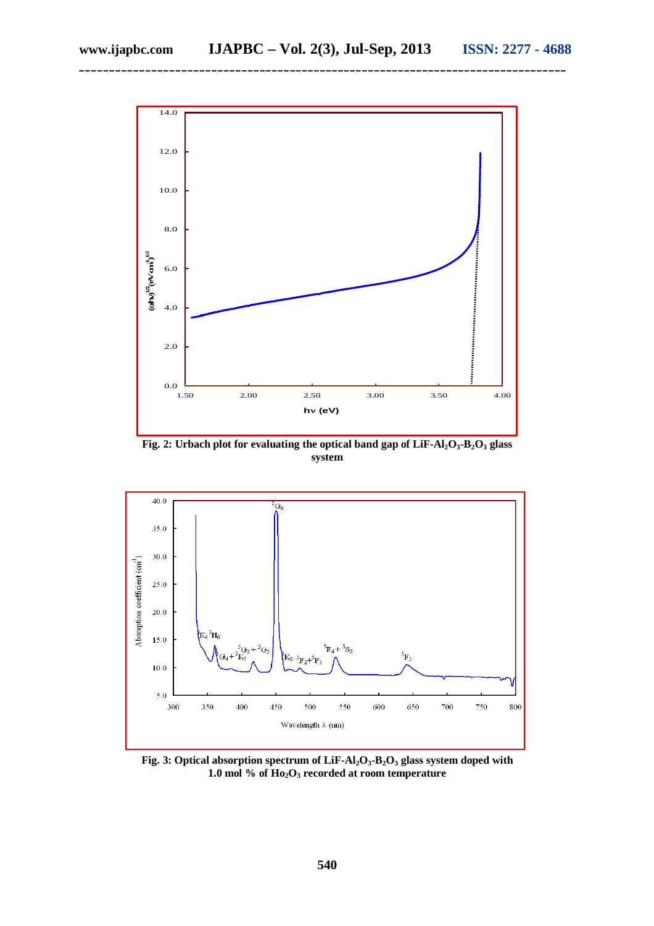

**Fig. 2: Urbach plot for evaluating the optical band gap of LiF-Al2O3-B2O<sup>3</sup> glass system**



**Fig. 3: Optical absorption spectrum of LiF-Al2O3-B2O<sup>3</sup> glass system doped with 1.0 mol % of Ho2O<sup>3</sup> recorded at room temperature**